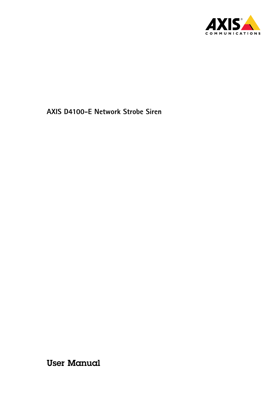

User Manual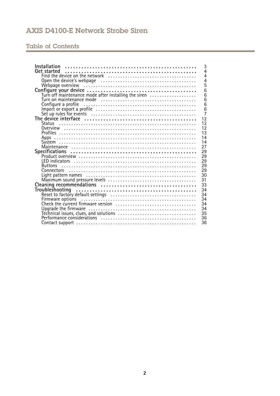# Table of Contents

| Installation<br>3                                                                                 |
|---------------------------------------------------------------------------------------------------|
| $\overline{4}$<br>Get started                                                                     |
| 4                                                                                                 |
| $\overline{4}$                                                                                    |
| 5                                                                                                 |
| 6                                                                                                 |
| $\overline{6}$<br>Turn off maintenance mode after installing the siren                            |
| 6                                                                                                 |
| $\overline{6}$<br>Configure a profile                                                             |
| 6                                                                                                 |
| $\overline{7}$                                                                                    |
| 12                                                                                                |
| 12                                                                                                |
| 12                                                                                                |
| 13                                                                                                |
| 14                                                                                                |
| 14                                                                                                |
| 27                                                                                                |
| 29                                                                                                |
| 29                                                                                                |
| 29                                                                                                |
| 29<br><b>Buttons</b>                                                                              |
| 29                                                                                                |
| 30                                                                                                |
| 31                                                                                                |
| 33                                                                                                |
| 34                                                                                                |
| 34                                                                                                |
| Reset to factory default settings<br>Firmware options<br>Check the current firmware version<br>34 |
| 34                                                                                                |
| 34                                                                                                |
| 35                                                                                                |
| 36                                                                                                |
| 36                                                                                                |
|                                                                                                   |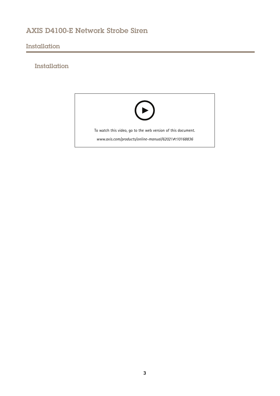# <span id="page-2-0"></span>Installation

# Installation

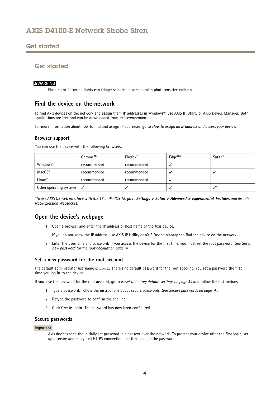## <span id="page-3-0"></span>Get started

## Get started

### **WARNING**

Flashing or flickering lights can trigger seizures in persons with photosensitive epilepsy.

### **Find the device on the network**

To find Axis devices on the network and assign them IP addresses in Windows®, use AXIS IP Utility or AXIS Device Manager. Both applications are free and can be downloaded from *[axis.com/support](https://www.axis.com/support)*.

For more information about how to find and assign IP addresses, go to *How to [assign](https://www.axis.com/products/online-manual/i90000) an IP address and access your device*.

### **Browser support**

You can use the device with the following browsers:

|                         | Chrome™      | Firefox <sup>®</sup> | $Edge^{TM}$ | Safari <sup>®</sup> |
|-------------------------|--------------|----------------------|-------------|---------------------|
| Windows®                | recommended  | recommended          |             |                     |
| $macOS^*$               | recommended  | recommended          |             |                     |
| Linux®                  | recommended  | recommended          |             |                     |
| Other operating systems | $\checkmark$ |                      |             |                     |

\*To use AXIS OS web interface with iOS 15 or iPadOS 15, go to Settings > Safari > Advanced > Experimental Features and disable *NSURLSession Websocket.*

### **Open the device's webpage**

1. Open <sup>a</sup> browser and enter the IP address or host name of the Axis device.

If you do not know the IP address, use AXIS IP Utility or AXIS Device Manager to find the device on the network.

2. Enter the username and password. If you access the device for the first time, you must set the root password. See *Set <sup>a</sup> new password for the root account on page <sup>4</sup>* .

### **Set <sup>a</sup> new password for the root account**

The default administrator username is root. There's no default password for the root account. You set <sup>a</sup> password the first time you log in to the device.

If you lose the password for the root account, go to *Reset to factory default [settings](#page-33-0) on page [34](#page-33-0)* and follow the instructions.

- 1. Type <sup>a</sup> password. Follow the instructions about secure passwords. See *Secure passwords on page <sup>4</sup>* .
- 2. Retype the password to confirm the spelling.
- 3. Click **Create login**. The password has now been configured.

#### **Secure passwords**

#### Important

Axis devices send the initially set password in clear text over the network. To protect your device after the first login, set up <sup>a</sup> secure and encrypted HTTPS connection and then change the password.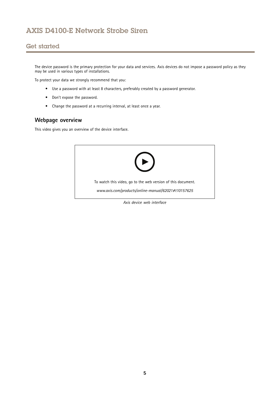## <span id="page-4-0"></span>Get started

The device password is the primary protection for your data and services. Axis devices do not impose <sup>a</sup> password policy as they may be used in various types of installations.

To protect your data we strongly recommend that you:

- Use <sup>a</sup> password with at least 8 characters, preferably created by <sup>a</sup> password generator.
- Don't expose the password.
- Change the password at <sup>a</sup> recurring interval, at least once <sup>a</sup> year.

# **Webpage overview**

This video gives you an overview of the device interface.



*Axis device web interface*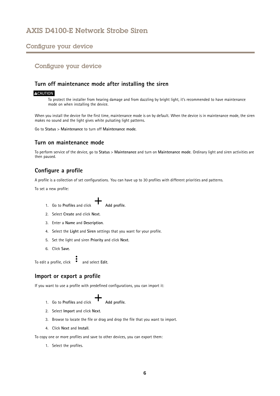### <span id="page-5-0"></span>Configure your device

## Configure your device

### **Turn off maintenance mode after installing the siren**

### **ACAUTION**

To protect the installer from hearing damage and from dazzling by bright light, it's recommended to have maintenance mode on when installing the device.

When you install the device for the first time, maintenance mode is on by default. When the device is in maintenance mode, the siren makes no sound and the light gives white pulsating light patterns.

Go to **Status** <sup>&</sup>gt; **Maintenance** to turn off **Maintenance mode**.

### **Turn on maintenance mode**

To perform service of the device, go to **Status** <sup>&</sup>gt; **Maintenance** and turn on **Maintenance mode**. Ordinary light and siren activities are then paused.

### **Configure <sup>a</sup> profile**

A profile is <sup>a</sup> collection of set configurations. You can have up to 30 profiles with different priorities and patterns.

To set <sup>a</sup> new profile:

- 1. Go to **Profiles** and click **Add profile**.
- 2. Select **Create** and click **Next**.
- 3. Enter <sup>a</sup> **Name** and **Description**.
- 4. Select the **Light** and **Siren** settings that you want for your profile.
- 5. Set the light and siren **Priority** and click **Next**.
- 6. Click **Save**.

To edit a profile, click **a** and select **Edit**.

### **Import or export <sup>a</sup> profile**

If you want to use <sup>a</sup> profile with predefined configurations, you can import it:

1. Go to **Profiles** and click **Add profile**.

- 2. Select **Import** and click **Next**.
- 3. Browse to locate the file or drag and drop the file that you want to import.
- 4. Click **Next** and **Install**.

To copy one or more profiles and save to other devices, you can export them:

1. Select the profiles.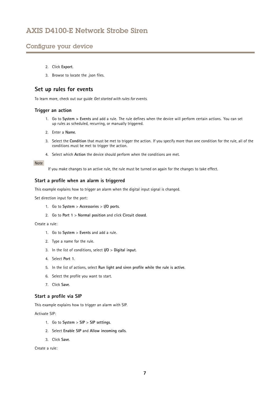## <span id="page-6-0"></span>Configure your device

- 2. Click **Export**.
- 3. Browse to locate the .json files.

### **Set up rules for events**

To learn more, check out our guide *Get [started](https://help.axis.com/get-started-with-rules-for-events) with rules for events*.

### **Trigger an action**

- 1. Go to **System <sup>&</sup>gt; Events** and add <sup>a</sup> rule. The rule defines when the device will perform certain actions. You can set up rules as scheduled, recurring, or manually triggered.
- 2. Enter a **Name**.
- 3. Select the **Condition** that must be met to trigger the action. If you specify more than one condition for the rule, all of the conditions must be met to trigger the action.
- 4. Select which **Action** the device should perform when the conditions are met.

### Note

If you make changes to an active rule, the rule must be turned on again for the changes to take effect.

### **Start <sup>a</sup> profile when an alarm is triggered**

This example explains how to trigger an alarm when the digital input signal is changed.

Set direction input for the port:

- 1. Go to **System** <sup>&</sup>gt; **Accessories** <sup>&</sup>gt; **I/O ports**.
- 2. Go to **Port <sup>1</sup>** <sup>&</sup>gt; **Normal position** and click **Circuit closed**.

### Create <sup>a</sup> rule:

- 1. Go to **System** <sup>&</sup>gt; **Events** and add <sup>a</sup> rule.
- 2. Type <sup>a</sup> name for the rule.
- 3. In the list of conditions, select **I/O** <sup>&</sup>gt; **Digital input**.
- 4. Select **Port 1**.
- 5. In the list of actions, select **Run light and siren profile while the rule is active**.
- 6. Select the profile you want to start.
- 7. Click **Save**.

### **Start <sup>a</sup> profile via SIP**

This example explains how to trigger an alarm with SIP.

Activate SIP:

- 1. Go to **System** <sup>&</sup>gt; **SIP** <sup>&</sup>gt; **SIP settings**.
- 2. Select **Enable SIP** and **Allow incoming calls**.
- 3. Click **Save**.

Create <sup>a</sup> rule: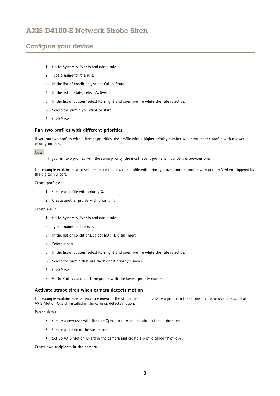## Configure your device

- 1. Go to **System** <sup>&</sup>gt; **Events** and add <sup>a</sup> rule.
- 2. Type <sup>a</sup> name for the rule.
- 3. In the list of conditions, select **Call** <sup>&</sup>gt; **State**.
- 4. In the list of state, select **Active**.
- 5. In the list of actions, select **Run light and siren profile while the rule is active**.
- 6. Select the profile you want to start.
- 7. Click **Save**.

### **Run two profiles with different priorities**

If you run two profiles with different priorities, the profile with <sup>a</sup> higher priority number will interrupt the profile with <sup>a</sup> lower priority number.

#### Note

If you run two profiles with the same priority, the most recent profile will cancel the previous one.

This example explains how to set the device to show one profile with priority <sup>4</sup> over another profile with priority 3 when triggered by the digital I/O port.

Create profiles:

- 1. Create <sup>a</sup> profile with priority 3.
- 2. Create another profile with priority 4.

Create <sup>a</sup> rule:

- 1. Go to **System** <sup>&</sup>gt; **Events** and add <sup>a</sup> rule.
- 2. Type <sup>a</sup> name for the rule.
- 3. In the list of conditions, select **I/O** <sup>&</sup>gt; **Digital input**.
- 4. Select <sup>a</sup> port.
- 5. In the list of actions, select **Run light and siren profile while the rule is active**.
- 6. Select the profile that has the highest priority number.
- 7. Click **Save**.
- 8. Go to **Profiles** and start the profile with the lowest priority number.

### **Activate strobe siren when camera detects motion**

This example explains how connect <sup>a</sup> camera to the strobe siren, and activate <sup>a</sup> profile in the strobe siren whenever the application AXIS Motion Guard, installed in the camera, detects motion.

#### **Prerequisites**

- Create <sup>a</sup> new user with the role Operator or Administrator in the strobe siren.
- Create <sup>a</sup> profile in the strobe siren.
- Set up AXIS Motion Guard in the camera and create <sup>a</sup> profile called "Profile A".

**Create two recipients in the camera**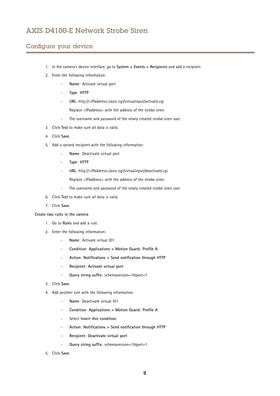## Configure your device

- 1. In the camera's device interface, go to **System <sup>&</sup>gt; Events <sup>&</sup>gt; Recipients** and add <sup>a</sup> recipient.
- 2. Enter the following information:
	- **Name**: Activate virtual port
	- -**Type**: **HTTP**
	- **URL**: http://<IPaddress>/axis-cgi/virtualinput/activate.cgi Replace <IPaddress> with the address of the strobe siren.
	- The username and password of the newly created strobe siren user.
- 3. Click **Test** to make sure all data is valid.
- 4. Click **Save**.
- 5. Add <sup>a</sup> second recipient with the following information:
	- -**Name**: Deactivate virtual port
	- -**Type**: **HTTP**
	- **URL**: http://<IPaddress>/axis-cgi/virtualinput/deactivate.cgi
		- Replace <IPaddress> with the address of the strobe siren.
	- -The username and password of the newly created strobe siren user.
- 6. Click **Test** to make sure all data is valid.
- 7. Click **Save**.

**Create two rules in the camera**

- 1. Go to **Rules** and add <sup>a</sup> rule.
- 2. Enter the following information:
	- **Name**: Activate virtual IO1
	- **Condition**: **Applications <sup>&</sup>gt; Motion Guard: Profile A**
	- **Action**: **Notifications <sup>&</sup>gt; Send notification through HTTP**
	- **Recipient**: **Activate virtual port**
	- **Query string suffix**: schemaversion=1&port=1
- 3. Click **Save**.
- 4. Add another rule with the following information:
	- -**Name**: Deactivate virtual IO1
	- -**Condition**: **Applications <sup>&</sup>gt; Motion Guard: Profile A**
	- Select **Invert this condition**.
	- **Action**: **Notifications <sup>&</sup>gt; Send notification through HTTP**
	- **Recipient**: **Deactivate virtual port**
	- **Query string suffix**: schemaversion=1&port=1
- 5. Click **Save**.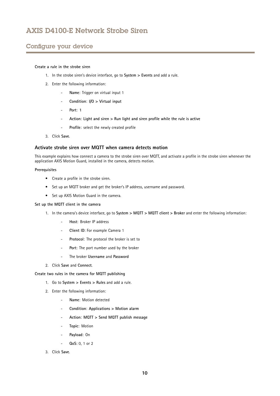## Configure your device

### **Create <sup>a</sup> rule in the strobe siren**

- 1. In the strobe siren's device interface, go to **System <sup>&</sup>gt; Events** and add <sup>a</sup> rule.
- 2. Enter the following information:
	- **Name**: Trigger on virtual input 1
	- **Condition**: **I/O <sup>&</sup>gt; Virtual input**
	- **Port**: **1**
	- **Action**: **Light and siren <sup>&</sup>gt; Run light and siren profile while the rule is active**
	- -**Profile**: select the newly created profile
- 3. Click **Save**.

### **Activate strobe siren over MQTT when camera detects motion**

This example explains how connect <sup>a</sup> camera to the strobe siren over MQTT, and activate <sup>a</sup> profile in the strobe siren whenever the application AXIS Motion Guard, installed in the camera, detects motion.

#### **Prerequisites**

- Create <sup>a</sup> profile in the strobe siren.
- Set up an MQTT broker and get the broker's IP address, username and password.
- Set up AXIS Motion Guard in the camera.

#### **Set up the MQTT client in the camera**

- 1. In the camera's device interface, go to **System <sup>&</sup>gt; MQTT <sup>&</sup>gt; MQTT client <sup>&</sup>gt; Broker** and enter the following information:
	- **Host**: Broker IP address
	- -**Client ID**: For example Camera <sup>1</sup>
	- **Protocol**: The protocol the broker is set to
	- **Port**: The port number used by the broker
	- -The broker **Username** and **Password**
- 2. Click **Save** and **Connect**.

#### **Create two rules in the camera for MQTT publishing**

- 1. Go to **System <sup>&</sup>gt; Events <sup>&</sup>gt; Rules** and add <sup>a</sup> rule.
- 2. Enter the following information:
	- -**Name**: Motion detected
	- **Condition**: **Applications <sup>&</sup>gt; Motion alarm**
	- -**Action**: **MQTT <sup>&</sup>gt; Send MQTT publish message**
	- **Topic**: Motion
	- **Payload**: On
	- **QoS**: 0, 1 or 2

3. Click **Save**.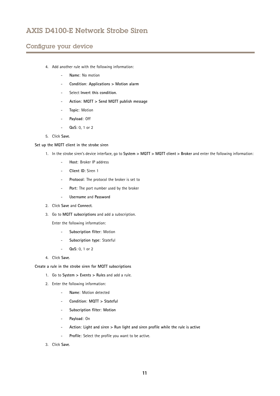## Configure your device

- 4. Add another rule with the following information:
	- **Name**: No motion
	- **Condition**: **Applications <sup>&</sup>gt; Motion alarm**
	- Select **Invert this condition**.
	- **Action**: **MQTT <sup>&</sup>gt; Send MQTT publish message**
	- **Topic**: Motion
	- **Payload**: Off
	- **QoS**: 0, 1 or 2
- 5. Click **Save**.

#### **Set up the MQTT client in the strobe siren**

- 1. In the strobe siren's device interface, go to **System <sup>&</sup>gt; MQTT <sup>&</sup>gt; MQTT client <sup>&</sup>gt; Broker** and enter the following information:
	- -**Host**: Broker IP address
	- **Client ID**: Siren 1
	- **Protocol**: The protocol the broker is set to
	- -**Port**: The port number used by the broker
	- **Username** and **Password**
- 2. Click **Save** and **Connect**.
- 3. Go to **MQTT subscriptions** and add <sup>a</sup> subscription.

Enter the following information:

- -**Subscription filter**: Motion
- -**Subscription type**: Stateful
- **QoS**: 0, 1 or 2
- 4. Click **Save**.

**Create <sup>a</sup> rule in the strobe siren for MQTT subscriptions**

- 1. Go to **System <sup>&</sup>gt; Events <sup>&</sup>gt; Rules** and add <sup>a</sup> rule.
- 2. Enter the following information:
	- **Name**: Motion detected
	- **Condition**: **MQTT <sup>&</sup>gt; Stateful**
	- -**Subscription filter**: **Motion**
	- **Payload**: On
	- **Action**: **Light and siren <sup>&</sup>gt; Run light and siren profile while the rule is active**
	- -**Profile**: Select the profile you want to be active.
- 3. Click **Save**.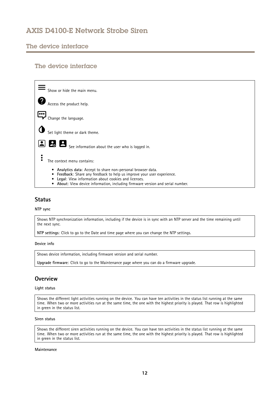# <span id="page-11-0"></span>The device interface

## The device interface



### **Status**

**NTP sync**

Shows NTP synchronization information, including if the device is in sync with an NTP server and the time remaining until the next sync.

**NTP settings**: Click to go to the Date and time page where you can change the NTP settings.

#### **Device info**

Shows device information, including firmware version and serial number.

**Upgrade firmware**: Click to go to the Maintenance page where you can do <sup>a</sup> firmware upgrade.

## **Overview**

**Light status**

Shows the different light activities running on the device. You can have ten activities in the status list running at the same time. When two or more activities run at the same time, the one with the highest priority is played. That row is highlighted in green in the status list.

#### **Siren status**

Shows the different siren activities running on the device. You can have ten activities in the status list running at the same time. When two or more activities run at the same time, the one with the highest priority is played. That row is highlighted in green in the status list.

#### **Maintenance**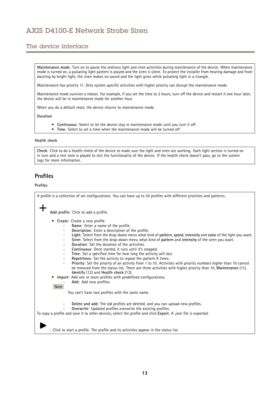# <span id="page-12-0"></span>The device interface

**Maintenance mode**: Turn on to pause the ordinary light and siren activities during maintenance of the device. When maintenance mode is turned on, <sup>a</sup> pulsating light pattern is played and the siren is silent. To protect the installer from hearing damage and from dazzling by bright light, the siren makes no sound and the light gives white pulsating light in <sup>a</sup> triangle.

Maintenance has priority 11. Only system specific activities with higher priority can disrupt the maintenance mode.

Maintenance mode survives <sup>a</sup> reboot. For example, if you set the time to 2 hours, turn off the device and restart it one hour later, the device will be in maintenance mode for another hour.

When you do <sup>a</sup> default reset, the device returns to maintenance mode.

**Duration**

- •**Continuous**: Select to let the device stay in maintenance mode until you turn it off.
- •**Time**: Select to set <sup>a</sup> time when the maintenance mode will be turned off.

#### **Health check**

**Check**: Click to do <sup>a</sup> health check of the device to make sure the light and siren are working. Each light section is turned on in turn and <sup>a</sup> test tone is played to test the functionality of the device. If the health check doesn't pass, go to the system logs for more information.

## **Profiles**

### **Profiles**

A profile is <sup>a</sup> collection of set configurations. You can have up to 30 profiles with different priorities and patterns. **Add profile**: Click to add <sup>a</sup> profile. • **Create**: Create <sup>a</sup> new profile **Name**: Enter <sup>a</sup> name of the profile. **Description**: Enter <sup>a</sup> description of the profile. **Light**: Select from the drop-down menu what kind of **pattern**, **speed**, **intensity** and **color** of the light you want. **Siren**: Select from the drop-down menu what kind of **pattern** and **intensity** of the siren you want. **Duration**: Set the duration of the activities. **Continuous**: Once started, it runs until it's stopped. **Time**: Set <sup>a</sup> specified time for how long the activity will last. **Repetitions**: Set the activity to repeat the pattern X times. **Priority**: Set the priority of an activity from <sup>1</sup> to 10. Activities with priority numbers higher than 10 cannot be removed from the status list. There are three activities with higher priority than 10, **Maintenance** (11), **Identify** (12) and **Health check** (13). • **Import**: Add one or more profiles with predefined configurations. **Add**: Add new profiles. Note You can't have two profiles with the same name. **Delete and add**: The old profiles are deleted, and you can upload new profiles. **Overwrite**: Updated profiles overwrite the existing profiles. To copy <sup>a</sup> profile and save it to other devices, select the profile and click **Export**. A .json file is exported. : Click to start <sup>a</sup> profile. The profile and its activities appear in the status list.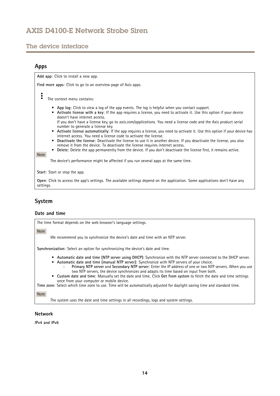# <span id="page-13-0"></span>The device interface

## **Apps**

**Find more apps**: Click to go to an overview page of Axis apps.

The context menu contains:

**Add app**: Click to install <sup>a</sup> new app.

- **App log**: Click to view <sup>a</sup> log of the app events. The log is helpful when you contact support.
- • **Activate license with <sup>a</sup> key**: If the app requires <sup>a</sup> license, you need to activate it. Use this option if your device doesn't have internet access.
- If you don't have <sup>a</sup> license key, go to *[axis.com/applications](https://www.axis.com/applications)*. You need <sup>a</sup> license code and the Axis product serial number to generate <sup>a</sup> license key.
- **Activate license automatically**: If the app requires <sup>a</sup> license, you need to activate it. Use this option if your device has internet access. You need a license code to activate the license.
- • **Deactivate the license**: Deactivate the license to use it in another device. If you deactivate the license, you also remove it from the device. To deactivate the license requires internet access.
- •**Delete**: Delete the app permanently from the device. If you don't deactivate the license first, it remains active.

The device's performance might be affected if you run several apps at the same time.

**Start**: Start or stop the app.

**Open**: Click to access the app's settings. The available settings depend on the application. Some applications don't have any settings.

## **System**

Note

### **Date and time**

The time format depends on the web browser's language settings.

Note

We recommend you to synchronize the device's date and time with an NTP server.

**Synchronization**: Select an option for synchronizing the device's date and time.

- **Automatic date and time (NTP server using DHCP)**: Synchronize with the NTP server connected to the DHCP server.
- **Automatic date and time (manual NTP server)**: Synchronize with NTP servers of your choice. **Primary NTP server** and **Secondary NTP server**: Enter the IP address of one or two NTP servers. When you use
	- two NTP servers, the device synchronizes and adapts its time based on input from both.
- • **Custom date and time**: Manually set the date and time. Click **Get from system** to fetch the date and time settings once from your computer or mobile device.

**Time zone**: Select which time zone to use. Time will be automatically adjusted for daylight saving time and standard time.

Note

The system uses the date and time settings in all recordings, logs and system settings.

### **Network**

**IPv4 and IPv6**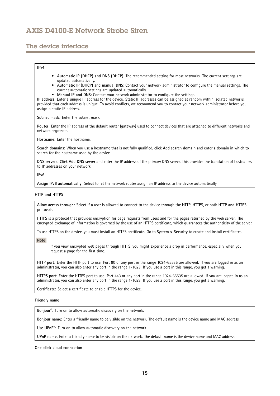## The device interface

### **IPv4**

- **Automatic IP (DHCP) and DNS (DHCP)**: The recommended setting for most networks. The current settings are updated automatically.
- **Automatic IP (DHCP) and manual DNS**: Contact your network administrator to configure the manual settings. The current automatic settings are updated automatically.
- **Manual IP and DNS**: Contact your network administrator to configure the settings.

**IP address**: Enter <sup>a</sup> unique IP address for the device. Static IP addresses can be assigned at random within isolated networks, provided that each address is unique. To avoid conflicts, we recommend you to contact your network administrator before you assign <sup>a</sup> static IP address.

**Subnet mask**: Enter the subnet mask.

**Router**: Enter the IP address of the default router (gateway) used to connect devices that are attached to different networks and network segments.

**Hostname**: Enter the hostname.

**Search domains**: When you use <sup>a</sup> hostname that is not fully qualified, click **Add search domain** and enter <sup>a</sup> domain in which to search for the hostname used by the device.

**DNS servers**: Click **Add DNS server** and enter the IP address of the primary DNS server. This provides the translation of hostnames to IP addresses on your network.

#### **IPv6**

**Assign IPv6 automatically**: Select to let the network router assign an IP address to the device automatically.

#### **HTTP and HTTPS**

**Allow access through**: Select if <sup>a</sup> user is allowed to connect to the device through the **HTTP**, **HTTPS**, or both **HTTP and HTTPS** protocols.

HTTPS is <sup>a</sup> protocol that provides encryption for page requests from users and for the pages returned by the web server. The encrypted exchange of information is governed by the use of an HTTPS certificate, which guarantees the authenticity of the server.

To use HTTPS on the device, you must install an HTTPS certificate. Go to **System <sup>&</sup>gt; Security** to create and install certificates.

Note

If you view encrypted web pages through HTTPS, you might experience <sup>a</sup> drop in performance, especially when you request <sup>a</sup> page for the first time.

**HTTP port**: Enter the HTTP port to use. Port 80 or any port in the range 1024-65535 are allowed. If you are logged in as an administrator, you can also enter any port in the range 1-1023. If you use <sup>a</sup> port in this range, you get <sup>a</sup> warning.

**HTTPS port**: Enter the HTTPS port to use. Port 443 or any port in the range 1024-65535 are allowed. If you are logged in as an administrator, you can also enter any port in the range 1-1023. If you use <sup>a</sup> port in this range, you get <sup>a</sup> warning.

**Certificate**: Select <sup>a</sup> certificate to enable HTTPS for the device.

#### **Friendly name**

**Bonjour**® : Turn on to allow automatic discovery on the network.

**Bonjour name**: Enter <sup>a</sup> friendly name to be visible on the network. The default name is the device name and MAC address.

**Use UPnP**® : Turn on to allow automatic discovery on the network.

**UPnP name**: Enter <sup>a</sup> friendly name to be visible on the network. The default name is the device name and MAC address.

**One-click cloud connection**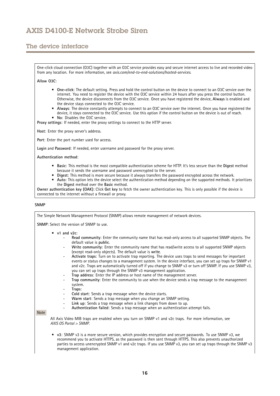## The device interface

One-click cloud connection (O3C) together with an O3C service provides easy and secure internet access to live and recorded video from any location. For more information, see *[axis.com/end-to-end-solutions/hosted-services](https://www.axis.com/end-to-end-solutions/hosted-services)*.

**Allow O3C**:

- **One-click**: The default setting. Press and hold the control button on the device to connect to an O3C service over the internet. You need to register the device with the O3C service within 24 hours after you press the control button. Otherwise, the device disconnects from the O3C service. Once you have registered the device, **Always** is enabled and the device stays connected to the O3C service.
- • **Always**: The device constantly attempts to connect to an O3C service over the internet. Once you have registered the device, it stays connected to the O3C service. Use this option if the control button on the device is out of reach. •**No**: Disables the O3C service.
- **Proxy settings**: If needed, enter the proxy settings to connect to the HTTP server.

**Host**: Enter the proxy server's address.

**Port**: Enter the port number used for access.

**Login** and **Password**: If needed, enter username and password for the proxy server.

**Authentication method**:

- **Basic**: This method is the most compatible authentication scheme for HTTP. It's less secure than the **Digest** method because it sends the username and password unencrypted to the server.
- •**Digest**: This method is more secure because it always transfers the password encrypted across the network.
- • **Auto**: This option lets the device select the authentication method depending on the supported methods. It prioritizes the **Digest** method over the **Basic** method.

**Owner authentication key (OAK)**: Click **Get key** to fetch the owner authentication key. This is only possible if the device is connected to the internet without <sup>a</sup> firewall or proxy.

#### **SNMP**

The Simple Network Management Protocol (SNMP) allows remote management of network devices.

**SNMP**: Select the version of SNMP to use.

- **v1 and v2c**:
	- **Read community**: Enter the community name that has read-only access to all supported SNMP objects. The default value is **public**.
	- **Write community**: Enter the community name that has read/write access to all supported SNMP objects (except read-only objects). The default value is **write**.
	- **Activate traps**: Turn on to activate trap reporting. The device uses traps to send messages for important events or status changes to <sup>a</sup> management system. In the device interface, you can set up traps for SNMP v1 and v2c. Traps are automatically turned off if you change to SNMP v3 or turn off SNMP. If you use SNMP v3, you can set up traps through the SNMP v3 management application.
	- **Trap address**: Enter the IP address or host name of the management server.
	- **Trap community**: Enter the community to use when the device sends <sup>a</sup> trap message to the management system.
	- **Traps**:
	- **Cold start**: Sends <sup>a</sup> trap message when the device starts.
	- **Warm start**: Sends <sup>a</sup> trap message when you change an SNMP setting.
	- **Link up**: Sends <sup>a</sup> trap message when <sup>a</sup> link changes from down to up.
	- **Authentication failed**: Sends <sup>a</sup> trap message when an authentication attempt fails.

#### Note

All Axis Video MIB traps are enabled when you turn on SNMP v1 and v2c traps. For more information, see *AXIS OS Portal <sup>&</sup>gt; [SNMP](https://www.axis.com/products/online-manual/00000#t10163561)*.

• **v3**: SNMP v3 is <sup>a</sup> more secure version, which provides encryption and secure passwords. To use SNMP v3, we recommend you to activate HTTPS, as the password is then sent through HTTPS. This also prevents unauthorized parties to access unencrypted SNMP v1 and v2c traps. If you use SNMP v3, you can set up traps through the SNMP v3 management application.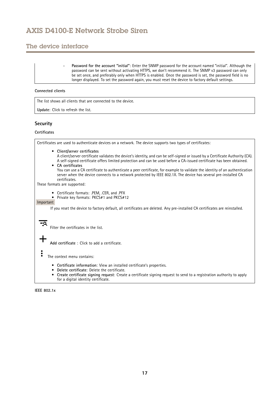## The device interface

 **Password for the account "initial"**: Enter the SNMP password for the account named "initial". Although the password can be sent without activating HTTPS, we don't recommend it. The SNMP v3 password can only be set once, and preferably only when HTTPS is enabled. Once the password is set, the password field is no longer displayed. To set the password again, you must reset the device to factory default settings.

#### **Connected clients**

The list shows all clients that are connected to the device.

**Update**: Click to refresh the list.

### **Security**

### **Certificates**

Certificates are used to authenticate devices on <sup>a</sup> network. The device supports two types of certificates: • **Client/server certificates** A client/server certificate validates the device's identity, and can be self-signed or issued by <sup>a</sup> Certificate Authority (CA). A self-signed certificate offers limited protection and can be used before <sup>a</sup> CA-issued certificate has been obtained. • **CA certificates** You can use <sup>a</sup> CA certificate to authenticate <sup>a</sup> peer certificate, for example to validate the identity of an authentication server when the device connects to <sup>a</sup> network protected by IEEE 802.1X. The device has several pre-installed CA

certificates. These formats are supported:

• Certificate formats: .PEM, .CER, and .PFX

•Private key formats: PKCS#1 and PKCS#12

#### Important

 $\overline{\mathsf{PQ}}$ 

If you reset the device to factory default, all certificates are deleted. Any pre-installed CA certificates are reinstalled.

Filter the certificates in the list.

**Add certificate** : Click to add <sup>a</sup> certificate.

The context menu contains:

- **Certificate information**: View an installed certificate's properties.
- **Delete certificate**: Delete the certificate.
- • **Create certificate signing request**: Create <sup>a</sup> certificate signing request to send to <sup>a</sup> registration authority to apply for <sup>a</sup> digital identity certificate.

**IEEE 802.1x**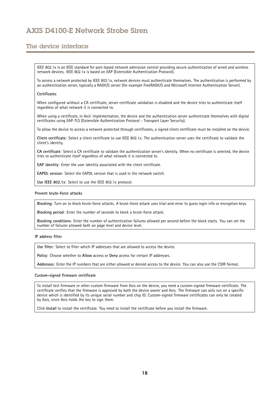## The device interface

IEEE 802.1x is an IEEE standard for port-based network admission control providing secure authentication of wired and wireless network devices. IEEE 802.1x is based on EAP (Extensible Authentication Protocol).

To access <sup>a</sup> network protected by IEEE 802.1x, network devices must authenticate themselves. The authentication is performed by an authentication server, typically <sup>a</sup> RADIUS server (for example FreeRADIUS and Microsoft Internet Authentication Server).

#### **Certificates**

When configured without <sup>a</sup> CA certificate, server certificate validation is disabled and the device tries to authenticate itself regardless of what network it is connected to.

When using <sup>a</sup> certificate, in Axis' implementation, the device and the authentication server authenticate themselves with digital certificates using EAP-TLS (Extensible Authentication Protocol - Transport Layer Security).

To allow the device to access <sup>a</sup> network protected through certificates, <sup>a</sup> signed client certificate must be installed on the device.

**Client certificate**: Select <sup>a</sup> client certificate to use IEEE 802.1x. The authentication server uses the certificate to validate the client's identity.

**CA certificate**: Select <sup>a</sup> CA certificate to validate the authentication server's identity. When no certificate is selected, the device tries to authenticate itself regardless of what network it is connected to.

**EAP identity**: Enter the user identity associated with the client certificate.

**EAPOL version**: Select the EAPOL version that is used in the network switch.

**Use IEEE 802.1x**: Select to use the IEEE 802.1x protocol.

#### **Prevent brute-force attacks**

**Blocking**: Turn on to block brute-force attacks. A brute-force attack uses trial-and-error to guess login info or encryption keys.

**Blocking period**: Enter the number of seconds to block <sup>a</sup> brute-force attack.

**Blocking conditions**: Enter the number of authentication failures allowed per second before the block starts. You can set the number of failures allowed both on page level and device level.

### **IP address filter**

**Use filter**: Select to filter which IP addresses that are allowed to access the device.

**Policy**: Choose whether to **Allow** access or **Deny** access for certain IP addresses.

**Addresses**: Enter the IP numbers that are either allowed or denied access to the device. You can also use the CIDR format.

#### **Custom-signed firmware certificate**

To install test firmware or other custom firmware from Axis on the device, you need <sup>a</sup> custom-signed firmware certificate. The certificate verifies that the firmware is approved by both the device owner and Axis. The firmware can only run on <sup>a</sup> specific device which is identified by its unique serial number and chip ID. Custom-signed firmware certificates can only be created by Axis, since Axis holds the key to sign them.

Click **Install** to install the certificate. You need to install the certificate before you install the firmware.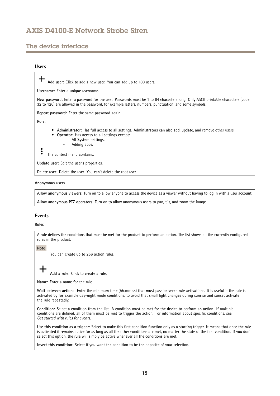## The device interface

### **Users**

**Add user**: Click to add <sup>a</sup> new user. You can add up to 100 users.

**Username**: Enter <sup>a</sup> unique username.

**New password**: Enter <sup>a</sup> password for the user. Passwords must be <sup>1</sup> to <sup>64</sup> characters long. Only ASCII printable characters (code <sup>32</sup> to 126) are allowed in the password, for example letters, numbers, punctuation, and some symbols.

**Repeat password**: Enter the same password again.

**Role**:

- **Administrator**: Has full access to all settings. Administrators can also add, update, and remove other users.
- • **Operator**: Has access to all settings except:
	- All **System** settings.
	- Adding apps.

The context menu contains:

**Update user**: Edit the user's properties.

**Delete user**: Delete the user. You can't delete the root user.

#### **Anonymous users**

**Allow anonymous viewers**: Turn on to allow anyone to access the device as <sup>a</sup> viewer without having to log in with <sup>a</sup> user account.

**Allow anonymous PTZ operators**: Turn on to allow anonymous users to pan, tilt, and zoom the image.

### **Events**

#### **Rules**

A rule defines the conditions that must be met for the product to perform an action. The list shows all the currently configured rules in the product.

#### Note

You can create up to 256 action rules.

**Add <sup>a</sup> rule**: Click to create <sup>a</sup> rule.

**Name**: Enter a name for the rule.

**Wait between actions**: Enter the minimum time (hh:mm:ss) that must pass between rule activations. It is useful if the rule is activated by for example day-night mode conditions, to avoid that small light changes during sunrise and sunset activate the rule repeatedly.

**Condition**: Select <sup>a</sup> condition from the list. A condition must be met for the device to perform an action. If multiple conditions are defined, all of them must be met to trigger the action. For information about specific conditions, see *Get [started](https://help.axis.com/get-started-with-rules-for-events#conditions) with rules for events*.

**Use this condition as <sup>a</sup> trigger**: Select to make this first condition function only as <sup>a</sup> starting trigger. It means that once the rule is activated it remains active for as long as all the other conditions are met, no matter the state of the first condition. If you don't select this option, the rule will simply be active whenever all the conditions are met.

**Invert this condition**: Select if you want the condition to be the opposite of your selection.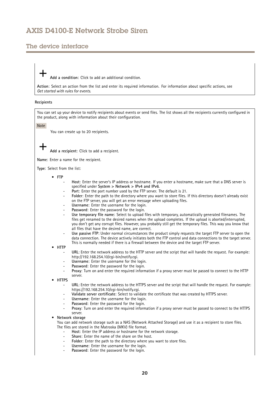## The device interface

**Add <sup>a</sup> condition**: Click to add an additional condition.

**Action**: Select an action from the list and enter its required information. For information about specific actions, see *Get [started](https://help.axis.com/get-started-with-rules-for-events#actions) with rules for events*.

#### **Recipients**

You can set up your device to notify recipients about events or send files. The list shows all the recipients currently configured in the product, along with information about their configuration.

Note

You can create up to 20 recipients.

**Add <sup>a</sup> recipient**: Click to add <sup>a</sup> recipient.

**Name**: Enter <sup>a</sup> name for the recipient.

**Type**: Select from the list:

- **FTP**
	- **Host**: Enter the server's IP address or hostname. If you enter <sup>a</sup> hostname, make sure that <sup>a</sup> DNS server is specified under **System <sup>&</sup>gt; Network <sup>&</sup>gt; IPv4 and IPv6**.
	- **Port**: Enter the port number used by the FTP server. The default is 21.
	- **Folder**: Enter the path to the directory where you want to store files. If this directory doesn't already exist on the FTP server, you will get an error message when uploading files.
	- **Username**: Enter the username for the login.
	- **Password**: Enter the password for the login.
	- **Use temporary file name**: Select to upload files with temporary, automatically generated filenames. The files get renamed to the desired names when the upload completes. If the upload is aborted/interrupted, you don't get any corrupt files. However, you probably still get the temporary files. This way you know that all files that have the desired name, are correct.
	- **Use passive FTP**: Under normal circumstances the product simply requests the target FTP server to open the data connection. The device actively initiates both the FTP control and data connections to the target server. This is normally needed if there is <sup>a</sup> firewall between the device and the target FTP server.
- • **HTTP**
	- **URL**: Enter the network address to the HTTP server and the script that will handle the request. For example: http://192.168.254.10/cgi-bin/notify.cgi.
	- **Username**: Enter the username for the login.
	- **Password**: Enter the password for the login.
	- **Proxy**: Turn on and enter the required information if <sup>a</sup> proxy server must be passed to connect to the HTTP server.
- • **HTTPS**
	- **URL**: Enter the network address to the HTTPS server and the script that will handle the request. For example: https://192.168.254.10/cgi-bin/notify.cgi.
	- **Validate server certificate**: Select to validate the certificate that was created by HTTPS server.
	- **Username**: Enter the username for the login.
	- **Password**: Enter the password for the login.
	- **Proxy**: Turn on and enter the required information if <sup>a</sup> proxy server must be passed to connect to the HTTPS server.

#### •**Network storage**

You can add network storage such as <sup>a</sup> NAS (Network Attached Storage) and use it as <sup>a</sup> recipient to store files. The files are stored in the Matroska (MKV) file format.

- **Host**: Enter the IP address or hostname for the network storage.
- **Share**: Enter the name of the share on the host.
- **Folder**: Enter the path to the directory where you want to store files.
- **Username**: Enter the username for the login.
- **Password**: Enter the password for the login.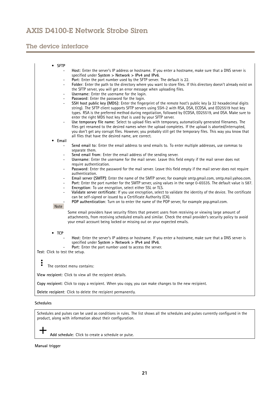# The device interface

| $\bullet$ SFTP                            |                                                                                                                                                                                                                                                                                                                                   |
|-------------------------------------------|-----------------------------------------------------------------------------------------------------------------------------------------------------------------------------------------------------------------------------------------------------------------------------------------------------------------------------------|
|                                           | Host: Enter the server's IP address or hostname. If you enter a hostname, make sure that a DNS server is<br>specified under System $>$ Network $>$ IPv4 and IPv6.                                                                                                                                                                 |
| $\overline{\phantom{0}}$                  | Port: Enter the port number used by the SFTP server. The default is 22.                                                                                                                                                                                                                                                           |
| ÷                                         | Folder: Enter the path to the directory where you want to store files. If this directory doesn't already exist on                                                                                                                                                                                                                 |
|                                           | the SFTP server, you will get an error message when uploading files.                                                                                                                                                                                                                                                              |
| ÷                                         | Username: Enter the username for the login.                                                                                                                                                                                                                                                                                       |
| $\overline{\phantom{0}}$                  | Password: Enter the password for the login.                                                                                                                                                                                                                                                                                       |
|                                           | SSH host public key (MD5): Enter the fingerprint of the remote host's public key (a 32 hexadecimal digits<br>string). The SFTP client supports SFTP servers using SSH-2 with RSA, DSA, ECDSA, and ED25519 host key<br>types. RSA is the preferred method during negotiation, followed by ECDSA, ED25519, and DSA. Make sure to    |
|                                           | enter the right MD5 host key that is used by your SFTP server.                                                                                                                                                                                                                                                                    |
|                                           | Use temporary file name: Select to upload files with temporary, automatically generated filenames. The<br>files get renamed to the desired names when the upload completes. If the upload is aborted/interrupted,<br>you don't get any corrupt files. However, you probably still get the temporary files. This way you know that |
|                                           | all files that have the desired name, are correct.                                                                                                                                                                                                                                                                                |
| Email<br>٠                                |                                                                                                                                                                                                                                                                                                                                   |
|                                           | Send email to: Enter the email address to send emails to. To enter multiple addresses, use commas to<br>separate them.                                                                                                                                                                                                            |
|                                           | Send email from: Enter the email address of the sending server.                                                                                                                                                                                                                                                                   |
| ÷.                                        | Username: Enter the username for the mail server. Leave this field empty if the mail server does not<br>require authentication.                                                                                                                                                                                                   |
| ÷                                         | Password: Enter the password for the mail server. Leave this field empty if the mail server does not require<br>authentication.                                                                                                                                                                                                   |
| ÷                                         | Email server (SMTP): Enter the name of the SMTP server, for example smtp.gmail.com, smtp.mail.yahoo.com.                                                                                                                                                                                                                          |
| $\frac{1}{2}$<br>$\overline{\phantom{0}}$ | Port: Enter the port number for the SMTP server, using values in the range 0-65535. The default value is 587.<br>Encryption: To use encryption, select either SSL or TLS.                                                                                                                                                         |
| $\overline{\phantom{0}}$                  | Validate server certificate: If you use encryption, select to validate the identity of the device. The certificate<br>can be self-signed or issued by a Certificate Authority (CA).                                                                                                                                               |
| Note                                      | POP authentication: Turn on to enter the name of the POP server, for example pop.qmail.com.                                                                                                                                                                                                                                       |
|                                           |                                                                                                                                                                                                                                                                                                                                   |
|                                           | Some email providers have security filters that prevent users from receiving or viewing large amount of<br>attachments, from receiving scheduled emails and similar. Check the email provider's security policy to avoid<br>your email account being locked or missing out on your expected emails.                               |
| $\bullet$ TCP                             |                                                                                                                                                                                                                                                                                                                                   |
| ÷                                         | Host: Enter the server's IP address or hostname. If you enter a hostname, make sure that a DNS server is<br>specified under System $>$ Network $>$ IPv4 and IPv6.<br>Port: Enter the port number used to access the server.                                                                                                       |
| <b>Test: Click to test the setup.</b>     |                                                                                                                                                                                                                                                                                                                                   |
| ٠                                         |                                                                                                                                                                                                                                                                                                                                   |
| $\ddot{\bullet}$                          | The context menu contains:                                                                                                                                                                                                                                                                                                        |
|                                           | View recipient: Click to view all the recipient details.                                                                                                                                                                                                                                                                          |
|                                           | Copy recipient: Click to copy a recipient. When you copy, you can make changes to the new recipient.                                                                                                                                                                                                                              |
|                                           | Delete recipient: Click to delete the recipient permanently.                                                                                                                                                                                                                                                                      |

### **Schedules**

十

Schedules and pulses can be used as conditions in rules. The list shows all the schedules and pulses currently configured in the product, along with information about their configuration.

**Add schedule**: Click to create <sup>a</sup> schedule or pulse.

**Manual trigger**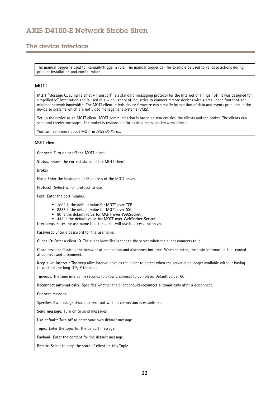## The device interface

The manual trigger is used to manually trigger <sup>a</sup> rule. The manual trigger can for example be used to validate actions during product installation and configuration.

### **MQTT**

MQTT (Message Queuing Telemetry Transport) is <sup>a</sup> standard messaging protocol for the Internet of Things (IoT). It was designed for simplified IoT integration and is used in <sup>a</sup> wide variety of industries to connect remote devices with <sup>a</sup> small code footprint and minimal network bandwidth. The MQTT client in Axis device firmware can simplify integration of data and events produced in the device to systems which are not video management systems (VMS).

Set up the device as an MQTT client. MQTT communication is based on two entities, the clients and the broker. The clients can send and receive messages. The broker is responsible for routing messages between clients.

You can learn more about MQTT in *AXIS OS [Portal](https://help.axis.com/axis-os#mqtt)*.

### **MQTT client**

**Connect**: Turn on or off the MQTT client.

**Status**: Shows the current status of the MQTT client.

**Broker**

**Host**: Enter the hostname or IP address of the MQTT server.

**Protocol**: Select which protocol to use.

**Port**: Enter the port number.

- 1883 is the default value for **MQTT over TCP**
- 8883 is the default value for **MQTT over SSL**
- 80 is the default value for **MQTT over WebSocket**
- 443 is the default value for **MQTT over WebSocket Secure**

**Username**: Enter the username that the client will use to access the server.

**Password**: Enter <sup>a</sup> password for the username.

**Client ID**: Enter <sup>a</sup> client ID. The client identifier is sent to the server when the client connects to it.

**Clean session**: Controls the behavior at connection and disconnection time. When selected, the state information is discarded at connect and disconnect.

**Keep alive interval**: The keep alive interval enables the client to detect when the server is no longer available without having to wait for the long TCP/IP timeout.

**Timeout**: The time interval in seconds to allow <sup>a</sup> connect to complete. Default value: 60

**Reconnect automatically**: Specifies whether the client should reconnect automatically after <sup>a</sup> disconnect.

**Connect message**

Specifies if <sup>a</sup> message should be sent out when <sup>a</sup> connection is established.

**Send message**: Turn on to send messages.

**Use default**: Turn off to enter your own default message.

**Topic**: Enter the topic for the default message.

**Payload**: Enter the content for the default message.

**Retain**: Select to keep the state of client on this **Topic**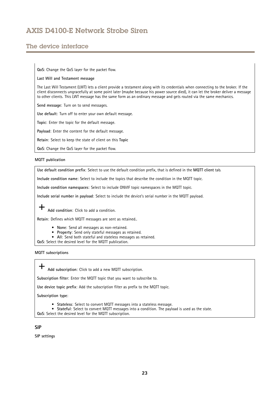## The device interface

**QoS**: Change the QoS layer for the packet flow.

#### **Last Will and Testament message**

The Last Will Testament (LWT) lets <sup>a</sup> client provide <sup>a</sup> testament along with its credentials when connecting to the broker. If the client disconnects ungracefully at some point later (maybe because his power source died), it can let the broker deliver <sup>a</sup> message to other clients. This LWT message has the same form as an ordinary message and gets routed via the same mechanics.

**Send message**: Turn on to send messages.

**Use default**: Turn off to enter your own default message.

**Topic**: Enter the topic for the default message.

**Payload**: Enter the content for the default message.

**Retain**: Select to keep the state of client on this **Topic**

**QoS**: Change the QoS layer for the packet flow.

#### **MQTT publication**

**Use default condition prefix**: Select to use the default condition prefix, that is defined in the **MQTT client** tab.

**Include condition name**: Select to include the topics that describe the condition in the MQTT topic.

**Include condition namespaces**: Select to include ONVIF topic namespaces in the MQTT topic.

**Include serial number in payload**: Select to include the device's serial number in the MQTT payload.

╈ **Add condition**: Click to add <sup>a</sup> condition.

**Retain**: Defines which MQTT messages are sent as retained..

- **None**: Send all messages as non-retained.
- •**Property**: Send only stateful messages as retained.
- **All**: Send both stateful and stateless messages as retained.

**QoS**: Select the desired level for the MQTT publication.

**MQTT subscriptions**

╈ **Add subscription**: Click to add <sup>a</sup> new MQTT subscription.

**Subscription filter**: Enter the MQTT topic that you want to subscribe to.

**Use device topic prefix**: Add the subscription filter as prefix to the MQTT topic.

**Subscription type**:

- **Stateless**: Select to convert MQTT messages into <sup>a</sup> stateless message.
- **Stateful**: Select to convert MQTT messages into <sup>a</sup> condition. The payload is used as the state.

**QoS**: Select the desired level for the MQTT subscription.

### **SIP**

**SIP settings**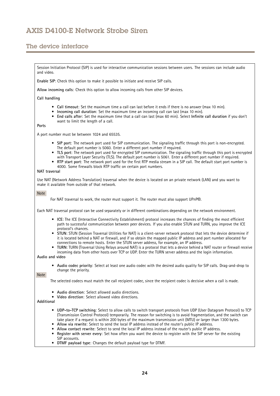# The device interface

Session Initiation Protocol (SIP) is used for interactive communication sessions between users. The sessions can include audio and video.

**Enable SIP**: Check this option to make it possible to initiate and receive SIP calls.

**Allow incoming calls**: Check this option to allow incoming calls from other SIP devices.

**Call handling**

- **Call timeout**: Set the maximum time <sup>a</sup> call can last before it ends if there is no answer (max 10 min).
- **Incoming call duration**: Set the maximum time an incoming call can last (max <sup>10</sup> min).
- • **End calls after**: Set the maximum time that <sup>a</sup> call can last (max <sup>60</sup> min). Select **Infinite call duration** if you don't want to limit the length of <sup>a</sup> call.

**Ports**

A port number must be between 1024 and 65535.

- **SIP port**: The network port used for SIP communication. The signaling traffic through this port is non-encrypted. The default port number is 5060. Enter <sup>a</sup> different port number if required.
- **TLS port**: The network port used for encrypted SIP communication. The signaling traffic through this port is encrypted with Transport Layer Security (TLS). The default port number is 5061. Enter <sup>a</sup> different port number if required.
- • **RTP start port**: The network port used for the first RTP media stream in <sup>a</sup> SIP call. The default start port number is 4000. Some firewalls block RTP traffic on certain port numbers.

### **NAT traversal**

Use NAT (Network Address Translation) traversal when the device is located on an private network (LAN) and you want to make it available from outside of that network.

Note

For NAT traversal to work, the router must support it. The router must also support UPnP®.

Each NAT traversal protocol can be used separately or in different combinations depending on the network environment.

- **ICE**: The ICE (Interactive Connectivity Establishment) protocol increases the chances of finding the most efficient path to successful communication between peer devices. If you also enable STUN and TURN, you improve the ICE protocol's chances.
- **STUN**: STUN (Session Traversal Utilities for NAT) is <sup>a</sup> client-server network protocol that lets the device determine if it is located behind <sup>a</sup> NAT or firewall, and if so obtain the mapped public IP address and port number allocated for connections to remote hosts. Enter the STUN server address, for example, an IP address.
- • **TURN**: TURN (Traversal Using Relays around NAT) is <sup>a</sup> protocol that lets <sup>a</sup> device behind <sup>a</sup> NAT router or firewall receive incoming data from other hosts over TCP or UDP. Enter the TURN server address and the login information.

**Audio and video**

• **Audio codec priority**: Select at least one audio codec with the desired audio quality for SIP calls. Drag-and-drop to change the priority.

Note

The selected codecs must match the call recipient codec, since the recipient codec is decisive when <sup>a</sup> call is made.

- **Audio direction**: Select allowed audio directions.
- **Video direction**: Select allowed video directions.

**Additional**

- **UDP-to-TCP switching**: Select to allow calls to switch transport protocols from UDP (User Datagram Protocol) to TCP (Transmission Control Protocol) temporarily. The reason for switching is to avoid fragmentation, and the switch can take place if <sup>a</sup> request is within <sup>200</sup> bytes of the maximum transmission unit (MTU) or larger than <sup>1300</sup> bytes.
- **Allow via rewrite**: Select to send the local IP address instead of the router's public IP address.
- **Allow contact rewrite**: Select to send the local IP address instead of the router's public IP address.
- • **Register with server every**: Set how often you want the device to register with the SIP server for the existing SIP accounts.
- **DTMF payload type**: Changes the default payload type for DTMF.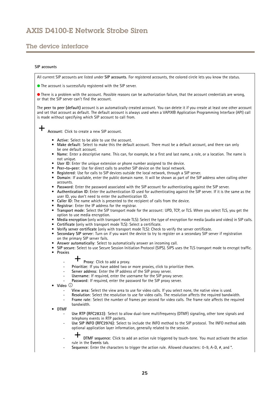# The device interface

### **SIP accounts**

All current SIP accounts are listed under **SIP accounts**. For registered accounts, the colored circle lets you know the status.

The account is successfully registered with the SIP server.

There is <sup>a</sup> problem with the account. Possible reasons can be authorization failure, that the account credentials are wrong, or that the SIP server can't find the account.

The **peer to peer (default)** account is an automatically created account. You can delete it if you create at least one other account and set that account as default. The default account is always used when <sup>a</sup> VAPIX® Application Programming Interface (API) call is made without specifying which SIP account to call from.

**Account**: Click to create <sup>a</sup> new SIP account.

- **Active**: Select to be able to use the account.
- • **Make default**: Select to make this the default account. There must be <sup>a</sup> default account, and there can only be one default account.
- **Name**: Enter <sup>a</sup> descriptive name. This can, for example, be <sup>a</sup> first and last name, <sup>a</sup> role, or <sup>a</sup> location. The name is not unique.
- **User ID**: Enter the unique extension or phone number assigned to the device.
- **Peer-to-peer**: Use for direct calls to another SIP device on the local network.
- •**Registered**: Use for calls to SIP devices outside the local network, through <sup>a</sup> SIP server.
- • **Domain**: If available, enter the public domain name. It will be shown as part of the SIP address when calling other accounts.
- **Password**: Enter the password associated with the SIP account for authenticating against the SIP server.
- • **Authentication ID**: Enter the authentication ID used for authenticating against the SIP server. If it is the same as the user ID, you don't need to enter the authentication ID.
- •**Caller ID**: The name which is presented to the recipient of calls from the device.
- •**Registrar**: Enter the IP address for the registrar.
- • **Transport mode**: Select the SIP transport mode for the account: UPD, TCP, or TLS. When you select TLS, you get the option to use media encryption.
- **Media encryption** (only with transport mode TLS): Select the type of encryption for media (audio and video) in SIP calls.
- •**Certificate** (only with transport mode TLS): Select <sup>a</sup> certificate.
- •**Verify server certificate** (only with transport mode TLS): Check to verify the server certificate.
- • **Secondary SIP server**: Turn on if you want the device to try to register on <sup>a</sup> secondary SIP server if registration on the primary SIP server fails.
- •**Answer automatically**: Select to automatically answer an incoming call.
- • **SIP secure**: Select to use Secure Session Initiation Protocol (SIPS). SIPS uses the TLS transport mode to encrypt traffic. •
- **Proxies**

### **Proxy**: Click to add <sup>a</sup> proxy.

- Prioritize: If you have added two or more proxies, click to prioritize them.
- **Server address**: Enter the IP address of the SIP proxy server.
- **Username**: If required, enter the username for the SIP proxy server.
- **Password**: If required, enter the password for the SIP proxy server.
- • **Video**
	- **View area**: Select the view area to use for video calls. If you select none, the native view is used.
	- **Resolution**: Select the resolution to use for video calls. The resolution affects the required bandwidth.
	- **Frame rate**: Select the number of frames per second for video calls. The frame rate affects the required bandwidth.
- • **DTMF**
	- **Use RTP (RFC2833)**: Select to allow dual-tone multifrequency (DTMF) signaling, other tone signals and telephony events in RTP packets.
	- **Use SIP INFO (RFC2976)**: Select to include the INFO method to the SIP protocol. The INFO method adds optional application layer information, generally related to the session.
	- **DTMF sequence**: Click to add an action rule triggered by touch-tone. You must activate the action rule in the **Events** tab.
	- **Sequence**: Enter the characters to trigger the action rule. Allowed characters: 0–9, A-D, #, and \*.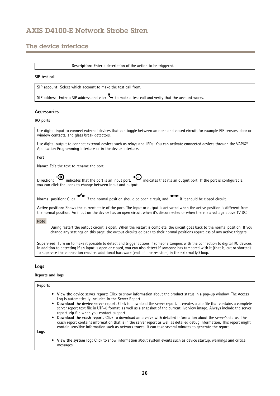## The device interface

**Description**: Enter <sup>a</sup> description of the action to be triggered.

#### **SIP test call**

**SIP account**: Select which account to make the test call from.

**SIP** address: Enter a SIP address and click  $\bullet$  to make a test call and verify that the account works.

### **Accessories**

#### **I/O ports**



**Supervised**: Turn on to make it possible to detect and trigger actions if someone tampers with the connection to digital I/O devices. In addition to detecting if an input is open or closed, you can also detect if someone has tampered with it (that is, cut or shorted). To supervise the connection requires additional hardware (end-of-line resistors) in the external I/O loop.

### **Logs**

### **Reports and logs**

#### **Reports**

- • **View the device server report**: Click to show information about the product status in <sup>a</sup> pop-up window. The Access Log is automatically included in the Server Report.
- • **Download the device server report**: Click to download the server report. It creates <sup>a</sup> .zip file that contains <sup>a</sup> complete server report text file in UTF–8 format, as well as <sup>a</sup> snapshot of the current live view image. Always include the server report .zip file when you contact support.
- • **Download the crash report**: Click to download an archive with detailed information about the server's status. The crash report contains information that is in the server report as well as detailed debug information. This report might contain sensitive information such as network traces. It can take several minutes to generate the report.

**Logs**

• **View the system log**: Click to show information about system events such as device startup, warnings and critical messages.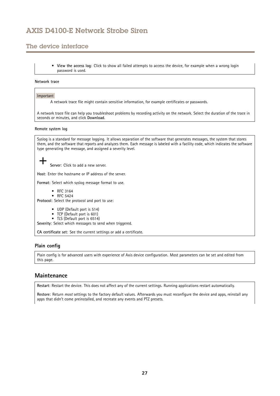# <span id="page-26-0"></span>The device interface

• **View the access log**: Click to show all failed attempts to access the device, for example when <sup>a</sup> wrong login password is used.

### **Network trace**

### Important

A network trace file might contain sensitive information, for example certificates or passwords.

A network trace file can help you troubleshoot problems by recording activity on the network. Select the duration of the trace in seconds or minutes, and click **Download**.

### **Remote system log**

| שטו ווואזכוני וטש                                                                                                                                                                                                                                                                                                                  |
|------------------------------------------------------------------------------------------------------------------------------------------------------------------------------------------------------------------------------------------------------------------------------------------------------------------------------------|
| Syslog is a standard for message logging. It allows separation of the software that generates messages, the system that stores<br>them, and the software that reports and analyzes them. Each message is labeled with a facility code, which indicates the software<br>type generating the message, and assigned a severity level. |
| Server: Click to add a new server.                                                                                                                                                                                                                                                                                                 |
| Host: Enter the hostname or IP address of the server.                                                                                                                                                                                                                                                                              |
| Format: Select which syslog message format to use.                                                                                                                                                                                                                                                                                 |
| $\bullet$ RFC 3164<br>$\bullet$ RFC 5424<br><b>Protocol:</b> Select the protocol and port to use:                                                                                                                                                                                                                                  |
| • UDP (Default port is 514)<br>• TCP (Default port is 601)<br>• TLS (Default port is 6514)<br>.                                                                                                                                                                                                                                    |

**Severity**: Select which messages to send when triggered.

**CA certificate set**: See the current settings or add <sup>a</sup> certificate.

### **Plain config**

Plain config is for advanced users with experience of Axis device configuration. Most parameters can be set and edited from this page.

## **Maintenance**

**Restart**: Restart the device. This does not affect any of the current settings. Running applications restart automatically.

**Restore**: Return *most* settings to the factory default values. Afterwards you must reconfigure the device and apps, reinstall any apps that didn't come preinstalled, and recreate any events and PTZ presets.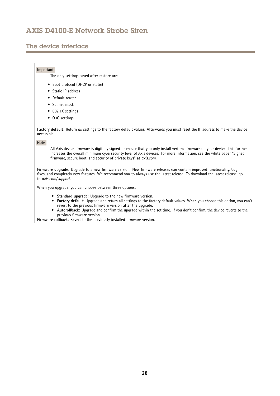## The device interface

### Important

The only settings saved after restore are:

- Boot protocol (DHCP or static)
- Static IP address
- Default router
- Subnet mask
- 802.1X settings
- O3C settings

**Factory default**: Return *all* settings to the factory default values. Afterwards you must reset the IP address to make the device accessible.

#### Note

All Axis device firmware is digitally signed to ensure that you only install verified firmware on your device. This further increases the overall minimum cybersecurity level of Axis devices. For more information, see the white paper "Signed firmware, secure boot, and security of private keys" at *[axis.com](https://www.axis.com/learning/white-papers)*.

**Firmware upgrade**: Upgrade to <sup>a</sup> new firmware version. New firmware releases can contain improved functionality, bug fixes, and completely new features. We recommend you to always use the latest release. To download the latest release, go to *[axis.com/support](https://www.axis.com/support/firmware)*.

When you upgrade, you can choose between three options:

- **Standard upgrade**: Upgrade to the new firmware version.
- • **Factory default**: Upgrade and return all settings to the factory default values. When you choose this option, you can't revert to the previous firmware version after the upgrade.
- • **Autorollback**: Upgrade and confirm the upgrade within the set time. If you don't confirm, the device reverts to the previous firmware version.

**Firmware rollback**: Revert to the previously installed firmware version.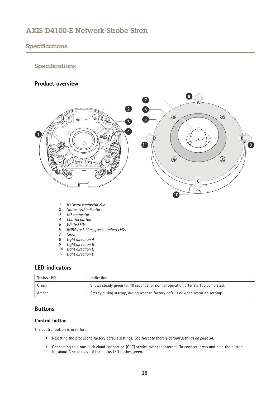# <span id="page-28-0"></span>Specifications

# Specifications

## **Product overview**



- *1 Network connector PoE*
- *2 Status LED indicator*
- *3 I/O connector*
- *4 Control button*
- *5 White LEDs*
- *<sup>6</sup> RGBA (red, blue, green, amber) LEDs*
- *7 Siren*
- *8 Light direction A*
- *9 Light direction B*
- *10 Light direction C*
- *11 Light direction D*

## **LED indicators**

| <b>Status LED</b> | Indication                                                                         |
|-------------------|------------------------------------------------------------------------------------|
| Green             | Shows steady green for 10 seconds for normal operation after startup completed.    |
| Amber             | Steady during startup, during reset to factory default or when restoring settings. |

 $\odot$ 

4

 $\overline{B}$ 

 $\bullet$ 

## **Buttons**

### **Control button**

The control button is used for:

- Resetting the product to factory default settings. See *Reset to factory default [settings](#page-33-0) on page [34](#page-33-0)*.
- Connecting to <sup>a</sup> one-click cloud connection (O3C) service over the internet. To connect, press and hold the button for about 3 seconds until the status LED flashes green.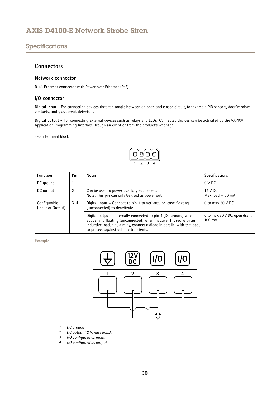## <span id="page-29-0"></span>Specifications

### **Connectors**

### **Network connector**

RJ45 Ethernet connector with Power over Ethernet (PoE).

### **I/O connector**

**Digital input -** For connecting devices that can toggle between an open and closed circuit, for example PIR sensors, door/window contacts, and glass break detectors.

**Digital output -** For connecting external devices such as relays and LEDs. Connected devices can be activated by the VAPIX® Application Programming Interface, trough an event or from the product's webpage.

4-pin terminal block



| <b>Function</b>                   | Pin     | <b>Notes</b>                                                                                                                                                                                                                                                | <b>Specifications</b>                   |
|-----------------------------------|---------|-------------------------------------------------------------------------------------------------------------------------------------------------------------------------------------------------------------------------------------------------------------|-----------------------------------------|
| DC ground                         |         |                                                                                                                                                                                                                                                             | 0 V DC                                  |
| DC output                         | 2       | Can be used to power auxiliary equipment.<br>Note: This pin can only be used as power out.                                                                                                                                                                  | 12 V DC<br>Max $load = 50$ mA           |
| Configurable<br>(Input or Output) | $3 - 4$ | Digital input – Connect to pin 1 to activate, or leave floating<br>(unconnected) to deactivate.                                                                                                                                                             | 0 to max $30$ V DC                      |
|                                   |         | Digital output – Internally connected to pin 1 (DC ground) when<br>active, and floating (unconnected) when inactive. If used with an<br>inductive load, e.g., a relay, connect a diode in parallel with the load,<br>to protect against voltage transients. | 0 to max 30 V DC, open drain,<br>100 mA |

**Example**



- *1 DC ground*
- *2 DC output 12 V, max 50mA*
- *<sup>3</sup> I/O configured as input*
- *<sup>4</sup> I/O configured as output*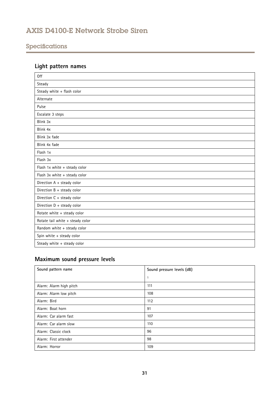# <span id="page-30-0"></span>Specifications

# **Light pattern names**

| <b>Off</b>                       |
|----------------------------------|
| Steady                           |
| Steady white + flash color       |
| Alternate                        |
| Pulse                            |
| Escalate 3 steps                 |
| Blink 3x                         |
| Blink 4x                         |
| Blink 3x fade                    |
| Blink 4x fade                    |
| Flash 1x                         |
| Flash 3x                         |
| Flash 1x white + steady color    |
| Flash 3x white + steady color    |
| Direction A + steady color       |
| Direction B + steady color       |
| Direction C + steady color       |
| Direction $D +$ steady color     |
| Rotate white + steady color      |
| Rotate tail white + steady color |
| Random white + steady color      |
| Spin white + steady color        |
| Steady white + steady color      |

# **Maximum sound pressure levels**

| Sound pattern name      | Sound pressure levels (dB) |
|-------------------------|----------------------------|
|                         | -1                         |
| Alarm: Alarm high pitch | 111                        |
| Alarm: Alarm low pitch  | 108                        |
| Alarm: Bird             | 112                        |
| Alarm: Boat horn        | 91                         |
| Alarm: Car alarm fast   | 107                        |
| Alarm: Car alarm slow   | 110                        |
| Alarm: Classic clock    | 96                         |
| Alarm: First attender   | 98                         |
| Alarm: Horror           | 109                        |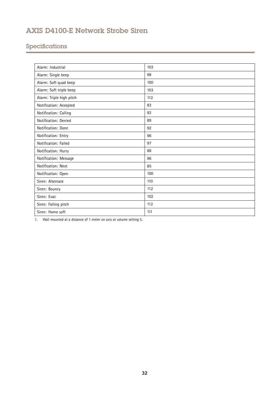# Specifications

1. Wall mounted at <sup>a</sup> distance of 1 meter on axis at volume setting 5.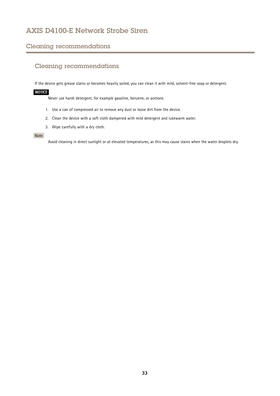## <span id="page-32-0"></span>Cleaning recommendations

# Cleaning recommendations

If the device gets grease stains or becomes heavily soiled, you can clean it with mild, solvent-free soap or detergent.

### *NOTICE*

Never use harsh detergent, for example gasoline, benzene, or acetone.

- 1. Use <sup>a</sup> can of compressed air to remove any dust or loose dirt from the device.
- 2. Clean the device with <sup>a</sup> soft cloth dampened with mild detergent and lukewarm water.
- 3. Wipe carefully with <sup>a</sup> dry cloth.

### Note

Avoid cleaning in direct sunlight or at elevated temperatures, as this may cause stains when the water droplets dry.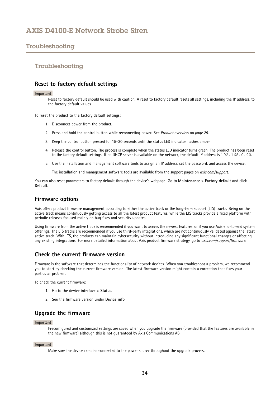## <span id="page-33-0"></span>Troubleshooting

### Troubleshooting

## **Reset to factory default settings**

#### Important

Reset to factory default should be used with caution. A reset to factory default resets all settings, including the IP address, to the factory default values.

To reset the product to the factory default settings:

- 1. Disconnect power from the product.
- 2. Press and hold the control button while reconnecting power. See *Product [overview](#page-28-0) on page [29](#page-28-0)*.
- 3. Keep the control button pressed for 15–30 seconds until the status LED indicator flashes amber.
- 4. Release the control button. The process is complete when the status LED indicator turns green. The product has been reset to the factory default settings. If no DHCP server is available on the network, the default IP address is 192.168.0.90.
- 5. Use the installation and management software tools to assign an IP address, set the password, and access the device.

The installation and management software tools are available from the support pages on *[axis.com/support](https://www.axis.com/support)*.

You can also reset parameters to factory default through the device's webpage. Go to **Maintenance** <sup>&</sup>gt; **Factory default** and click **Default**.

### **Firmware options**

Axis offers product firmware management according to either the active track or the long-term support (LTS) tracks. Being on the active track means continuously getting access to all the latest product features, while the LTS tracks provide <sup>a</sup> fixed platform with periodic releases focused mainly on bug fixes and security updates.

Using firmware from the active track is recommended if you want to access the newest features, or if you use Axis end-to-end system offerings. The LTS tracks are recommended if you use third-party integrations, which are not continuously validated against the latest active track. With LTS, the products can maintain cybersecurity without introducing any significant functional changes or affecting any existing integrations. For more detailed information about Axis product firmware strategy, go to *[axis.com/support/firmware](https://www.axis.com/support/firmware)*.

### **Check the current firmware version**

Firmware is the software that determines the functionality of network devices. When you troubleshoot <sup>a</sup> problem, we recommend you to start by checking the current firmware version. The latest firmware version might contain <sup>a</sup> correction that fixes your particular problem.

To check the current firmware:

- 1. Go to the device interface <sup>&</sup>gt; **Status**.
- 2. See the firmware version under **Device info**.

## **Upgrade the firmware**

### Important

Preconfigured and customized settings are saved when you upgrade the firmware (provided that the features are available in the new firmware) although this is not guaranteed by Axis Communications AB.

#### Important

Make sure the device remains connected to the power source throughout the upgrade process.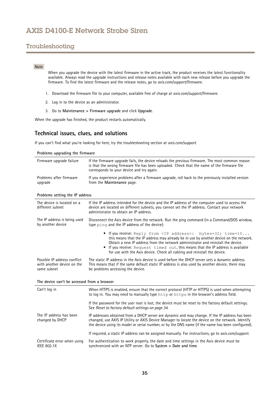# <span id="page-34-0"></span>Troubleshooting

### Note

When you upgrade the device with the latest firmware in the active track, the product receives the latest functionality available. Always read the upgrade instructions and release notes available with each new release before you upgrade the firmware. To find the latest firmware and the release notes, go to *[axis.com/support/firmware](https://www.axis.com/support/firmware)*.

- 1. Download the firmware file to your computer, available free of charge at *[axis.com/support/firmware](https://www.axis.com/support/firmware)*.
- 2. Log in to the device as an administrator.
- 3. Go to **Maintenance <sup>&</sup>gt; Firmware upgrade** and click **Upgrade**.

When the upgrade has finished, the product restarts automatically.

## **Technical issues, clues, and solutions**

If you can't find what you're looking for here, try the troubleshooting section at *[axis.com/support](https://www.axis.com/support)*.

| Problems upgrading the firmware                                           |                                                                                                                                                                                                                                                                                                                                                                                                                         |  |
|---------------------------------------------------------------------------|-------------------------------------------------------------------------------------------------------------------------------------------------------------------------------------------------------------------------------------------------------------------------------------------------------------------------------------------------------------------------------------------------------------------------|--|
| Firmware upgrade failure                                                  | If the firmware upgrade fails, the device reloads the previous firmware. The most common reason<br>is that the wrong firmware file has been uploaded. Check that the name of the firmware file<br>corresponds to your device and try again.                                                                                                                                                                             |  |
| Problems after firmware<br>upgrade                                        | If you experience problems after a firmware upgrade, roll back to the previously installed version<br>from the Maintenance page.                                                                                                                                                                                                                                                                                        |  |
| Problems setting the IP address                                           |                                                                                                                                                                                                                                                                                                                                                                                                                         |  |
| The device is located on a<br>different subnet                            | If the IP address intended for the device and the IP address of the computer used to access the<br>device are located on different subnets, you cannot set the IP address. Contact your network<br>administrator to obtain an IP address.                                                                                                                                                                               |  |
| The IP address is being used<br>by another device                         | Disconnect the Axis device from the network. Run the ping command (in a Command/DOS window,<br>type ping and the IP address of the device):                                                                                                                                                                                                                                                                             |  |
|                                                                           | . If you receive: Reply from <ip address="">: bytes=32; time=10<br/>this means that the IP address may already be in use by another device on the network.<br/>Obtain a new IP address from the network administrator and reinstall the device.<br/>• If you receive: Request timed out, this means that the IP address is available<br/>for use with the Axis device. Check all cabling and reinstall the device.</ip> |  |
| Possible IP address conflict<br>with another device on the<br>same subnet | The static IP address in the Axis device is used before the DHCP server sets a dynamic address.<br>This means that if the same default static IP address is also used by another device, there may<br>be problems accessing the device.                                                                                                                                                                                 |  |
| The device can't be accessed from a browser                               |                                                                                                                                                                                                                                                                                                                                                                                                                         |  |
| Can't log in                                                              | When HTTPS is enabled, ensure that the correct protocol (HTTP or HTTPS) is used when attempting<br>to log in. You may need to manually type http or https in the browser's address field.                                                                                                                                                                                                                               |  |
|                                                                           | If the password for the user root is lost, the device must be reset to the factory default settings.<br>See Reset to factory default settings on page 34.                                                                                                                                                                                                                                                               |  |
| The IP address has been<br>changed by DHCP                                | IP addresses obtained from a DHCP server are dynamic and may change. If the IP address has been<br>changed, use AXIS IP Utility or AXIS Device Manager to locate the device on the network. Identify<br>the device using its model or serial number, or by the DNS name (if the name has been configured).                                                                                                              |  |
|                                                                           | If required, a static IP address can be assigned manually. For instructions, go to axis.com/support.                                                                                                                                                                                                                                                                                                                    |  |
| Certificate error when using<br><b>IEEE 802.1X</b>                        | For authentication to work properly, the date and time settings in the Axis device must be<br>synchronized with an NTP server. Go to System > Date and time.                                                                                                                                                                                                                                                            |  |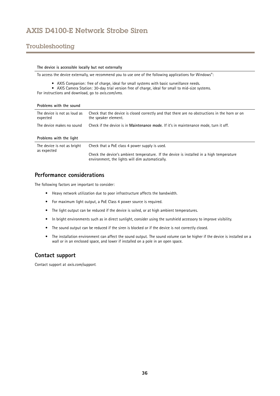# <span id="page-35-0"></span>Troubleshooting

#### **The device is accessible locally but not externally**

To access the device externally, we recommend you to use one of the following applications for Windows® :

- AXIS Companion: free of charge, ideal for small systems with basic surveillance needs.
- AXIS Camera Station: 30-day trial version free of charge, ideal for small to mid-size systems.

For instructions and download, go to *[axis.com/vms](https://www.axis.com/vms)*.

| Problems with the sound                    |                                                                                                                        |
|--------------------------------------------|------------------------------------------------------------------------------------------------------------------------|
| The device is not as loud as<br>expected   | Check that the device is closed correctly and that there are no obstructions in the horn or on<br>the speaker element. |
| The device makes no sound                  | Check if the device is in Maintenance mode. If it's in maintenance mode, turn it off.                                  |
| Problems with the light                    |                                                                                                                        |
| The device is not as bright<br>as expected | Check that a PoE class 4 power supply is used.                                                                         |
|                                            | Check the device's ambient temperature. If the device is installed in a high temperature                               |

### **Performance considerations**

The following factors are important to consider:

- Heavy network utilization due to poor infrastructure affects the bandwidth.
- For maximum light output, <sup>a</sup> PoE Class <sup>4</sup> power source is required.
- The light output can be reduced if the device is soiled, or at high ambient temperatures.
- In bright environments such as in direct sunlight, consider using the sunshield accessory to improve visibility.
- The sound output can be reduced if the siren is blocked or if the device is not correctly closed.

environment, the lights will dim automatically.

• The installation environment can affect the sound output. The sound volume can be higher if the device is installed on <sup>a</sup> wall or in an enclosed space, and lower if installed on <sup>a</sup> pole in an open space.

### **Contact support**

Contact support at *[axis.com/support](https://www.axis.com/support)*.